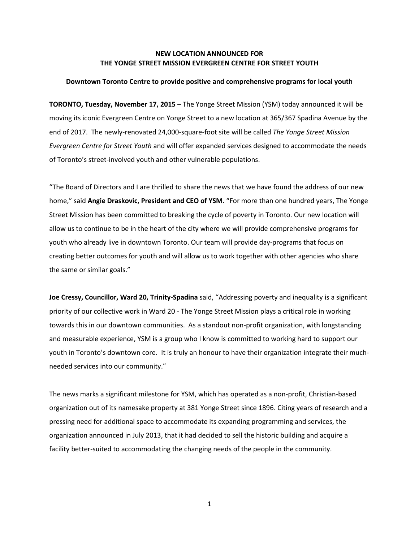## **NEW LOCATION ANNOUNCED FOR THE YONGE STREET MISSION EVERGREEN CENTRE FOR STREET YOUTH**

## **Downtown Toronto Centre to provide positive and comprehensive programs for local youth**

**TORONTO, Tuesday, November 17, 2015** – The Yonge Street Mission (YSM) today announced it will be moving its iconic Evergreen Centre on Yonge Street to a new location at 365/367 Spadina Avenue by the end of 2017. The newly-renovated 24,000-square-foot site will be called *The Yonge Street Mission Evergreen Centre for Street Youth* and will offer expanded services designed to accommodate the needs of Toronto's street-involved youth and other vulnerable populations.

"The Board of Directors and I are thrilled to share the news that we have found the address of our new home," said **Angie Draskovic, President and CEO of YSM**. "For more than one hundred years, The Yonge Street Mission has been committed to breaking the cycle of poverty in Toronto. Our new location will allow us to continue to be in the heart of the city where we will provide comprehensive programs for youth who already live in downtown Toronto. Our team will provide day-programs that focus on creating better outcomes for youth and will allow us to work together with other agencies who share the same or similar goals."

**Joe Cressy, Councillor, Ward 20, Trinity-Spadina** said, "Addressing poverty and inequality is a significant priority of our collective work in Ward 20 - The Yonge Street Mission plays a critical role in working towards this in our downtown communities. As a standout non-profit organization, with longstanding and measurable experience, YSM is a group who I know is committed to working hard to support our youth in Toronto's downtown core. It is truly an honour to have their organization integrate their muchneeded services into our community."

The news marks a significant milestone for YSM, which has operated as a non-profit, Christian-based organization out of its namesake property at 381 Yonge Street since 1896. Citing years of research and a pressing need for additional space to accommodate its expanding programming and services, the organization announced in July 2013, that it had decided to sell the historic building and acquire a facility better-suited to accommodating the changing needs of the people in the community.

1